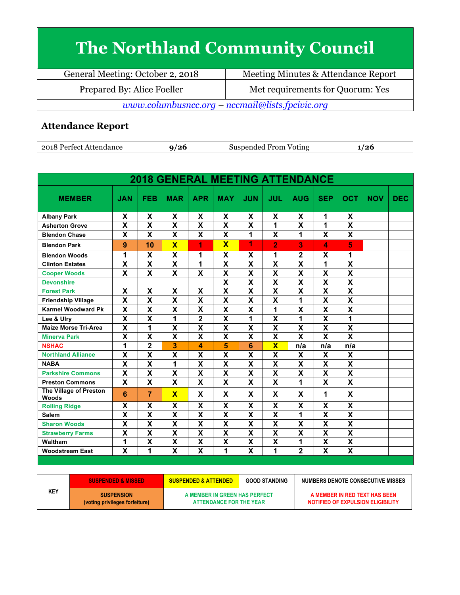## **The Northland Community Council**

General Meeting: October 2, 2018 Meeting Minutes & Attendance Report Prepared By: Alice Foeller Met requirements for Quorum: Yes *www.columbusncc.org – nccmail@lists.fpcivic.org*

## **Attendance Report**

| ാവ<br>Attendance<br>artoet/ | '^*<br>∠∪ | <b>Suspen</b><br>From<br>Voting<br>anded to | ۔ ا<br>$-1$ |
|-----------------------------|-----------|---------------------------------------------|-------------|

| <b>2018 GENERAL MEETING ATTENDANCE</b> |                         |                         |                         |                           |                           |                           |                         |                         |                         |                           |            |            |
|----------------------------------------|-------------------------|-------------------------|-------------------------|---------------------------|---------------------------|---------------------------|-------------------------|-------------------------|-------------------------|---------------------------|------------|------------|
| <b>MEMBER</b>                          | <b>JAN</b>              | <b>FEB</b>              | <b>MAR</b>              | <b>APR</b>                | <b>MAY</b>                | <b>JUN</b>                | <b>JUL</b>              | <b>AUG</b>              | <b>SEP</b>              | <b>OCT</b>                | <b>NOV</b> | <b>DEC</b> |
| <b>Albany Park</b>                     | X                       | X                       | X                       | X                         | X                         | X                         | X                       | X                       | 1                       | X                         |            |            |
| <b>Asherton Grove</b>                  | $\overline{\mathbf{x}}$ | $\overline{\textsf{x}}$ | $\overline{\mathsf{x}}$ | $\overline{\mathbf{X}}$   | $\overline{\mathbf{x}}$   | $\overline{\mathbf{X}}$   | $\overline{1}$          | $\overline{\textbf{x}}$ | $\overline{1}$          | $\overline{\mathbf{X}}$   |            |            |
| <b>Blendon Chase</b>                   | X                       | X                       | X                       | X                         | X                         | 1                         | X                       | 1                       | X                       | X                         |            |            |
| <b>Blendon Park</b>                    | 9                       | 10                      | $\overline{\mathbf{x}}$ | 1                         | $\overline{\mathbf{X}}$   | 1                         | $\overline{2}$          | 3                       | 4                       | 5                         |            |            |
| <b>Blendon Woods</b>                   | 1                       | X                       | X                       | 1                         | X                         | X                         | 1                       | $\overline{\mathbf{2}}$ | X                       | 1                         |            |            |
| <b>Clinton Estates</b>                 | $\overline{\mathbf{x}}$ | $\overline{\mathsf{x}}$ | $\overline{\mathsf{x}}$ | 1                         | $\overline{\mathsf{x}}$   | $\overline{\mathbf{x}}$   | $\overline{\mathbf{x}}$ | $\overline{\textsf{x}}$ | 1                       | $\overline{\mathsf{x}}$   |            |            |
| <b>Cooper Woods</b>                    | X                       | X                       | X                       | $\boldsymbol{\mathsf{x}}$ | X                         | $\boldsymbol{\mathsf{X}}$ | X                       | X                       | X                       | $\boldsymbol{\mathsf{x}}$ |            |            |
| <b>Devonshire</b>                      |                         |                         |                         |                           | $\overline{\mathbf{x}}$   | $\overline{\mathbf{x}}$   | $\overline{\textsf{x}}$ | $\overline{\textsf{x}}$ | $\overline{\mathsf{x}}$ | $\overline{\mathbf{x}}$   |            |            |
| <b>Forest Park</b>                     | X                       | X                       | X                       | $\boldsymbol{\mathsf{x}}$ | $\overline{\mathsf{x}}$   | $\overline{\mathbf{x}}$   | X                       | X                       | $\overline{\mathbf{x}}$ | $\boldsymbol{\mathsf{x}}$ |            |            |
| <b>Friendship Village</b>              | X                       | X                       | X                       | $\boldsymbol{\mathsf{x}}$ | X                         | X                         | X                       | 1                       | X                       | $\boldsymbol{\mathsf{X}}$ |            |            |
| <b>Karmel Woodward Pk</b>              | X                       | X                       | X                       | X                         | X                         | X                         | 1                       | X                       | $\mathbf x$             | X                         |            |            |
| Lee & Ulry                             | X                       | X                       | 1                       | $\overline{\mathbf{2}}$   | X                         | 1                         | X                       | 1                       | X                       | 1                         |            |            |
| <b>Maize Morse Tri-Area</b>            | $\overline{\mathbf{x}}$ | $\mathbf{1}$            | $\overline{\mathsf{x}}$ | $\overline{\mathbf{x}}$   | $\overline{\mathbf{x}}$   | $\overline{\mathbf{x}}$   | $\overline{\mathsf{x}}$ | $\overline{\mathsf{x}}$ | $\overline{\mathbf{x}}$ | $\overline{\mathbf{x}}$   |            |            |
| <b>Minerva Park</b>                    | $\overline{\mathbf{x}}$ | $\overline{\textsf{x}}$ | $\overline{\mathbf{x}}$ | $\overline{\mathbf{x}}$   | $\overline{\mathsf{x}}$   | $\overline{\mathbf{x}}$   | $\overline{\mathsf{x}}$ | $\overline{\mathsf{x}}$ | $\overline{\mathbf{x}}$ | $\overline{\mathbf{x}}$   |            |            |
| <b>NSHAC</b>                           | 1                       | $\overline{\mathbf{2}}$ | 3                       | 4                         | 5                         | 6                         | $\overline{\mathsf{x}}$ | n/a                     | n/a                     | n/a                       |            |            |
| <b>Northland Alliance</b>              | $\overline{\mathbf{x}}$ | $\overline{\mathsf{x}}$ | $\overline{\mathbf{x}}$ | $\overline{\mathbf{x}}$   | $\overline{\mathbf{x}}$   | $\overline{\mathbf{x}}$   | X                       | X                       | X                       | X                         |            |            |
| <b>NABA</b>                            | X                       | X                       | 1                       | $\boldsymbol{\mathsf{x}}$ | X                         | X                         | X                       | X                       | X                       | $\boldsymbol{\mathsf{x}}$ |            |            |
| <b>Parkshire Commons</b>               | X                       | X                       | X                       | $\boldsymbol{\mathsf{x}}$ | X                         | $\mathbf x$               | X                       | X                       | $\mathbf x$             | $\boldsymbol{\mathsf{x}}$ |            |            |
| <b>Preston Commons</b>                 | X                       | X                       | $\overline{\mathbf{X}}$ | $\boldsymbol{\mathsf{x}}$ | $\boldsymbol{\mathsf{x}}$ | $\mathbf x$               | X                       | 1                       | $\mathbf x$             | $\boldsymbol{\mathsf{x}}$ |            |            |
| The Village of Preston<br><b>Woods</b> | 6                       | $\overline{7}$          | $\overline{\mathbf{x}}$ | X                         | X                         | X                         | X                       | X                       | 1                       | X                         |            |            |
| <b>Rolling Ridge</b>                   | X                       | X                       | $\overline{\mathbf{x}}$ | $\overline{\mathbf{x}}$   | $\overline{\mathbf{x}}$   | $\overline{\mathbf{x}}$   | $\overline{\mathbf{x}}$ | $\overline{\mathsf{x}}$ | $\overline{\mathbf{x}}$ | $\overline{\mathbf{x}}$   |            |            |
| <b>Salem</b>                           | X                       | X                       | X                       | $\boldsymbol{\mathsf{x}}$ | X                         | X                         | X                       | 1                       | X                       | $\boldsymbol{\mathsf{x}}$ |            |            |
| <b>Sharon Woods</b>                    | $\overline{\mathsf{x}}$ | $\overline{\mathsf{x}}$ | $\overline{\mathsf{x}}$ | $\overline{\mathbf{x}}$   | $\overline{\mathbf{x}}$   | $\overline{\mathbf{x}}$   | $\overline{\mathsf{x}}$ | $\overline{\mathsf{x}}$ | $\overline{\mathbf{x}}$ | $\overline{\mathbf{x}}$   |            |            |
| <b>Strawberry Farms</b>                | $\overline{\mathbf{x}}$ | X                       | $\overline{\mathsf{x}}$ | $\boldsymbol{\mathsf{x}}$ | $\overline{\mathsf{x}}$   | X                         | $\overline{\textsf{x}}$ | X                       | $\overline{\mathbf{x}}$ | $\overline{\mathbf{x}}$   |            |            |
| Waltham                                | 1                       | $\overline{\textbf{x}}$ | $\overline{\mathbf{x}}$ | $\overline{\mathbf{X}}$   | $\overline{\mathbf{x}}$   | $\overline{\mathbf{X}}$   | $\overline{\textbf{x}}$ | 1                       | $\overline{\mathbf{x}}$ | $\overline{\mathbf{x}}$   |            |            |
| <b>Woodstream East</b>                 | $\overline{\mathbf{x}}$ | 1                       | $\overline{\mathbf{x}}$ | $\overline{\mathbf{x}}$   | 1                         | X                         | 1                       | $\overline{2}$          | $\overline{\mathbf{x}}$ | $\overline{\mathbf{x}}$   |            |            |

|     | <b>\SUSPENDED &amp; MISSED *</b>                    | <b>GOOD STANDING</b><br><b>SUSPENDED &amp; ATTENDED</b>  |  | NUMBERS DENOTE CONSECUTIVE MISSES                                  |  |  |
|-----|-----------------------------------------------------|----------------------------------------------------------|--|--------------------------------------------------------------------|--|--|
| KEY | <b>SUSPENSION</b><br>(voting privileges forfeiture) | A MEMBER IN GREEN HAS PERFECT<br>ATTENDANCE FOR THE YEAR |  | A MEMBER IN RED TEXT HAS BEEN<br>NOTIFIED OF EXPULSION ELIGIBILITY |  |  |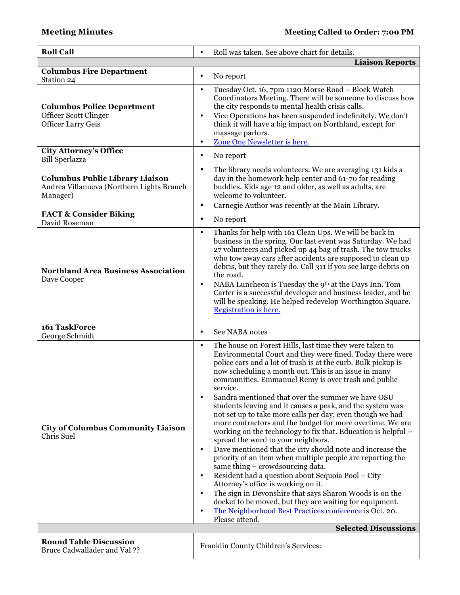| <b>Roll Call</b>                                                                                | Roll was taken. See above chart for details.<br>$\bullet$                                                                                                                                                                                                                                                                                                                                                                                                                                                                                                                                                                                                                                                                                                                                                                                                                                                                                                                                                                                                                                                                                                                                                      |
|-------------------------------------------------------------------------------------------------|----------------------------------------------------------------------------------------------------------------------------------------------------------------------------------------------------------------------------------------------------------------------------------------------------------------------------------------------------------------------------------------------------------------------------------------------------------------------------------------------------------------------------------------------------------------------------------------------------------------------------------------------------------------------------------------------------------------------------------------------------------------------------------------------------------------------------------------------------------------------------------------------------------------------------------------------------------------------------------------------------------------------------------------------------------------------------------------------------------------------------------------------------------------------------------------------------------------|
|                                                                                                 | <b>Liaison Reports</b>                                                                                                                                                                                                                                                                                                                                                                                                                                                                                                                                                                                                                                                                                                                                                                                                                                                                                                                                                                                                                                                                                                                                                                                         |
| <b>Columbus Fire Department</b><br>Station 24                                                   | No report<br>$\bullet$                                                                                                                                                                                                                                                                                                                                                                                                                                                                                                                                                                                                                                                                                                                                                                                                                                                                                                                                                                                                                                                                                                                                                                                         |
| <b>Columbus Police Department</b><br>Officer Scott Clinger<br><b>Officer Larry Geis</b>         | Tuesday Oct. 16, 7pm 1120 Morse Road - Block Watch<br>$\bullet$<br>Coordinators Meeting. There will be someone to discuss how<br>the city responds to mental health crisis calls.<br>Vice Operations has been suspended indefinitely. We don't<br>$\bullet$<br>think it will have a big impact on Northland, except for<br>massage parlors.<br>Zone One Newsletter is here.<br>$\bullet$                                                                                                                                                                                                                                                                                                                                                                                                                                                                                                                                                                                                                                                                                                                                                                                                                       |
| <b>City Attorney's Office</b><br><b>Bill Sperlazza</b>                                          | No report<br>$\bullet$                                                                                                                                                                                                                                                                                                                                                                                                                                                                                                                                                                                                                                                                                                                                                                                                                                                                                                                                                                                                                                                                                                                                                                                         |
| <b>Columbus Public Library Liaison</b><br>Andrea Villanueva (Northern Lights Branch<br>Manager) | The library needs volunteers. We are averaging 131 kids a<br>$\bullet$<br>day in the homework help center and 61-70 for reading<br>buddies. Kids age 12 and older, as well as adults, are<br>welcome to volunteer.<br>Carnegie Author was recently at the Main Library.<br>٠                                                                                                                                                                                                                                                                                                                                                                                                                                                                                                                                                                                                                                                                                                                                                                                                                                                                                                                                   |
| <b>FACT &amp; Consider Biking</b><br>David Roseman                                              | No report<br>$\bullet$                                                                                                                                                                                                                                                                                                                                                                                                                                                                                                                                                                                                                                                                                                                                                                                                                                                                                                                                                                                                                                                                                                                                                                                         |
| <b>Northland Area Business Association</b><br>Dave Cooper                                       | Thanks for help with 161 Clean Ups. We will be back in<br>$\bullet$<br>business in the spring. Our last event was Saturday. We had<br>27 volunteers and picked up 44 bag of trash. The tow trucks<br>who tow away cars after accidents are supposed to clean up<br>debris, but they rarely do. Call 311 if you see large debris on<br>the road.<br>NABA Luncheon is Tuesday the 9 <sup>th</sup> at the Days Inn. Tom<br>$\bullet$<br>Carter is a successful developer and business leader, and he<br>will be speaking. He helped redevelop Worthington Square.<br>Registration is here.                                                                                                                                                                                                                                                                                                                                                                                                                                                                                                                                                                                                                        |
| 161 TaskForce<br>George Schmidt                                                                 | See NABA notes<br>$\bullet$                                                                                                                                                                                                                                                                                                                                                                                                                                                                                                                                                                                                                                                                                                                                                                                                                                                                                                                                                                                                                                                                                                                                                                                    |
| <b>City of Columbus Community Liaison</b><br>Chris Suel                                         | The house on Forest Hills, last time they were taken to<br>$\bullet$<br>Environmental Court and they were fined. Today there were<br>police cars and a lot of trash is at the curb. Bulk pickup is<br>now scheduling a month out. This is an issue in many<br>communities. Emmanuel Remy is over trash and public<br>service.<br>Sandra mentioned that over the summer we have OSU<br>$\bullet$<br>students leaving and it causes a peak, and the system was<br>not set up to take more calls per day, even though we had<br>more contractors and the budget for more overtime. We are<br>working on the technology to fix that. Education is helpful –<br>spread the word to your neighbors.<br>Dave mentioned that the city should note and increase the<br>$\bullet$<br>priority of an item when multiple people are reporting the<br>same thing – crowdsourcing data.<br>Resident had a question about Sequoia Pool - City<br>$\bullet$<br>Attorney's office is working on it.<br>The sign in Devonshire that says Sharon Woods is on the<br>$\bullet$<br>docket to be moved, but they are waiting for equipment.<br>The Neighborhood Best Practices conference is Oct. 20.<br>$\bullet$<br>Please attend. |
|                                                                                                 | <b>Selected Discussions</b>                                                                                                                                                                                                                                                                                                                                                                                                                                                                                                                                                                                                                                                                                                                                                                                                                                                                                                                                                                                                                                                                                                                                                                                    |
| <b>Round Table Discussion</b><br><b>Bruce Cadwallader and Val ??</b>                            | Franklin County Children's Services:                                                                                                                                                                                                                                                                                                                                                                                                                                                                                                                                                                                                                                                                                                                                                                                                                                                                                                                                                                                                                                                                                                                                                                           |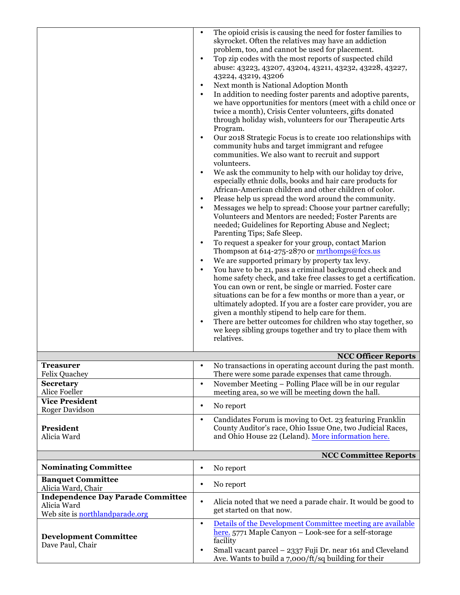|                                                                                            | $\bullet$<br>$\bullet$<br>$\bullet$<br>$\bullet$<br>$\bullet$<br>$\bullet$<br>$\bullet$ | The opioid crisis is causing the need for foster families to<br>skyrocket. Often the relatives may have an addiction<br>problem, too, and cannot be used for placement.<br>Top zip codes with the most reports of suspected child<br>abuse: 43223, 43207, 43204, 43211, 43232, 43228, 43227,<br>43224, 43219, 43206<br>Next month is National Adoption Month<br>In addition to needing foster parents and adoptive parents,<br>we have opportunities for mentors (meet with a child once or<br>twice a month), Crisis Center volunteers, gifts donated<br>through holiday wish, volunteers for our Therapeutic Arts<br>Program.<br>Our 2018 Strategic Focus is to create 100 relationships with<br>community hubs and target immigrant and refugee<br>communities. We also want to recruit and support<br>volunteers.<br>We ask the community to help with our holiday toy drive,<br>especially ethnic dolls, books and hair care products for<br>African-American children and other children of color.<br>Please help us spread the word around the community.<br>Messages we help to spread: Choose your partner carefully;<br>Volunteers and Mentors are needed; Foster Parents are<br>needed; Guidelines for Reporting Abuse and Neglect;<br>Parenting Tips; Safe Sleep.<br>To request a speaker for your group, contact Marion<br>Thompson at 614-275-2870 or mrthomps@fccs.us<br>We are supported primary by property tax levy.<br>You have to be 21, pass a criminal background check and<br>home safety check, and take free classes to get a certification.<br>You can own or rent, be single or married. Foster care<br>situations can be for a few months or more than a year, or<br>ultimately adopted. If you are a foster care provider, you are<br>given a monthly stipend to help care for them. |
|--------------------------------------------------------------------------------------------|-----------------------------------------------------------------------------------------|-------------------------------------------------------------------------------------------------------------------------------------------------------------------------------------------------------------------------------------------------------------------------------------------------------------------------------------------------------------------------------------------------------------------------------------------------------------------------------------------------------------------------------------------------------------------------------------------------------------------------------------------------------------------------------------------------------------------------------------------------------------------------------------------------------------------------------------------------------------------------------------------------------------------------------------------------------------------------------------------------------------------------------------------------------------------------------------------------------------------------------------------------------------------------------------------------------------------------------------------------------------------------------------------------------------------------------------------------------------------------------------------------------------------------------------------------------------------------------------------------------------------------------------------------------------------------------------------------------------------------------------------------------------------------------------------------------------------------------------------------------------------------------------------------------------------|
|                                                                                            | $\bullet$                                                                               | There are better outcomes for children who stay together, so<br>we keep sibling groups together and try to place them with<br>relatives.                                                                                                                                                                                                                                                                                                                                                                                                                                                                                                                                                                                                                                                                                                                                                                                                                                                                                                                                                                                                                                                                                                                                                                                                                                                                                                                                                                                                                                                                                                                                                                                                                                                                          |
|                                                                                            |                                                                                         | <b>NCC Officer Reports</b>                                                                                                                                                                                                                                                                                                                                                                                                                                                                                                                                                                                                                                                                                                                                                                                                                                                                                                                                                                                                                                                                                                                                                                                                                                                                                                                                                                                                                                                                                                                                                                                                                                                                                                                                                                                        |
| <b>Treasurer</b><br><b>Felix Quachey</b>                                                   |                                                                                         | No transactions in operating account during the past month.<br>There were some parade expenses that came through.                                                                                                                                                                                                                                                                                                                                                                                                                                                                                                                                                                                                                                                                                                                                                                                                                                                                                                                                                                                                                                                                                                                                                                                                                                                                                                                                                                                                                                                                                                                                                                                                                                                                                                 |
| <b>Secretary</b>                                                                           | $\bullet$                                                                               | November Meeting - Polling Place will be in our regular                                                                                                                                                                                                                                                                                                                                                                                                                                                                                                                                                                                                                                                                                                                                                                                                                                                                                                                                                                                                                                                                                                                                                                                                                                                                                                                                                                                                                                                                                                                                                                                                                                                                                                                                                           |
| Alice Foeller<br><b>Vice President</b>                                                     |                                                                                         | meeting area, so we will be meeting down the hall.                                                                                                                                                                                                                                                                                                                                                                                                                                                                                                                                                                                                                                                                                                                                                                                                                                                                                                                                                                                                                                                                                                                                                                                                                                                                                                                                                                                                                                                                                                                                                                                                                                                                                                                                                                |
| Roger Davidson                                                                             | $\bullet$                                                                               | No report                                                                                                                                                                                                                                                                                                                                                                                                                                                                                                                                                                                                                                                                                                                                                                                                                                                                                                                                                                                                                                                                                                                                                                                                                                                                                                                                                                                                                                                                                                                                                                                                                                                                                                                                                                                                         |
| President<br>Alicia Ward                                                                   | $\bullet$                                                                               | Candidates Forum is moving to Oct. 23 featuring Franklin<br>County Auditor's race, Ohio Issue One, two Judicial Races,<br>and Ohio House 22 (Leland). More information here.                                                                                                                                                                                                                                                                                                                                                                                                                                                                                                                                                                                                                                                                                                                                                                                                                                                                                                                                                                                                                                                                                                                                                                                                                                                                                                                                                                                                                                                                                                                                                                                                                                      |
|                                                                                            |                                                                                         | <b>NCC Committee Reports</b>                                                                                                                                                                                                                                                                                                                                                                                                                                                                                                                                                                                                                                                                                                                                                                                                                                                                                                                                                                                                                                                                                                                                                                                                                                                                                                                                                                                                                                                                                                                                                                                                                                                                                                                                                                                      |
| <b>Nominating Committee</b>                                                                | $\bullet$                                                                               | No report                                                                                                                                                                                                                                                                                                                                                                                                                                                                                                                                                                                                                                                                                                                                                                                                                                                                                                                                                                                                                                                                                                                                                                                                                                                                                                                                                                                                                                                                                                                                                                                                                                                                                                                                                                                                         |
| <b>Banquet Committee</b><br>Alicia Ward, Chair                                             | $\bullet$                                                                               | No report                                                                                                                                                                                                                                                                                                                                                                                                                                                                                                                                                                                                                                                                                                                                                                                                                                                                                                                                                                                                                                                                                                                                                                                                                                                                                                                                                                                                                                                                                                                                                                                                                                                                                                                                                                                                         |
| <b>Independence Day Parade Committee</b><br>Alicia Ward<br>Web site is northlandparade.org | $\bullet$                                                                               | Alicia noted that we need a parade chair. It would be good to<br>get started on that now.                                                                                                                                                                                                                                                                                                                                                                                                                                                                                                                                                                                                                                                                                                                                                                                                                                                                                                                                                                                                                                                                                                                                                                                                                                                                                                                                                                                                                                                                                                                                                                                                                                                                                                                         |
| <b>Development Committee</b><br>Dave Paul, Chair                                           | $\bullet$<br>$\bullet$                                                                  | Details of the Development Committee meeting are available<br>here. 5771 Maple Canyon - Look-see for a self-storage<br>facility<br>Small vacant parcel - 2337 Fuji Dr. near 161 and Cleveland<br>Ave. Wants to build a 7,000/ft/sq building for their                                                                                                                                                                                                                                                                                                                                                                                                                                                                                                                                                                                                                                                                                                                                                                                                                                                                                                                                                                                                                                                                                                                                                                                                                                                                                                                                                                                                                                                                                                                                                             |